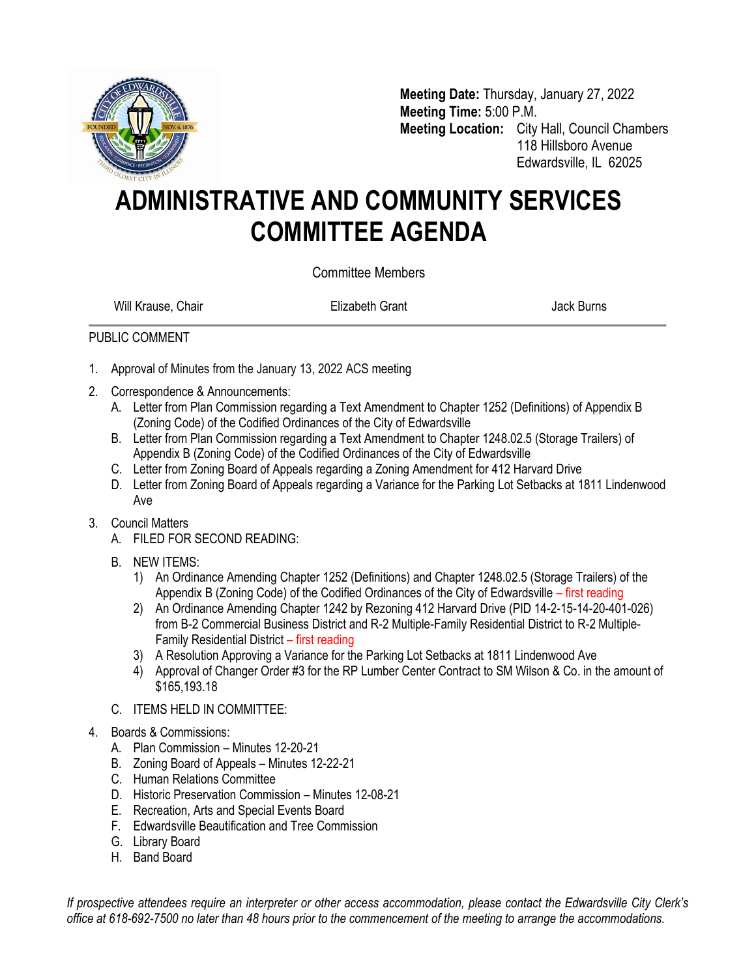

**Meeting Date:** Thursday, January 27, 2022 **Meeting Time:** 5:00 P.M. **Meeting Location:** City Hall, Council Chambers 118 Hillsboro Avenue Edwardsville, IL 62025

## **ADMINISTRATIVE AND COMMUNITY SERVICES COMMITTEE AGENDA**

Committee Members

Will Krause, Chair **Elizabeth Grant** Chair Burns Jack Burns

## PUBLIC COMMENT

- 1. Approval of Minutes from the January 13, 2022 ACS meeting
- 2. Correspondence & Announcements:
	- A. Letter from Plan Commission regarding a Text Amendment to Chapter 1252 (Definitions) of Appendix B (Zoning Code) of the Codified Ordinances of the City of Edwardsville
	- B. Letter from Plan Commission regarding a Text Amendment to Chapter 1248.02.5 (Storage Trailers) of Appendix B (Zoning Code) of the Codified Ordinances of the City of Edwardsville
	- C. Letter from Zoning Board of Appeals regarding a Zoning Amendment for 412 Harvard Drive
	- D. Letter from Zoning Board of Appeals regarding a Variance for the Parking Lot Setbacks at 1811 Lindenwood Ave

## 3. Council Matters

- A. FILED FOR SECOND READING:
- B. NEW ITEMS:
	- 1) An Ordinance Amending Chapter 1252 (Definitions) and Chapter 1248.02.5 (Storage Trailers) of the Appendix B (Zoning Code) of the Codified Ordinances of the City of Edwardsville – first reading
	- 2) An Ordinance Amending Chapter 1242 by Rezoning 412 Harvard Drive (PID 14-2-15-14-20-401-026) from B-2 Commercial Business District and R-2 Multiple-Family Residential District to R-2 Multiple-Family Residential District – first reading
	- 3) A Resolution Approving a Variance for the Parking Lot Setbacks at 1811 Lindenwood Ave
	- 4) Approval of Changer Order #3 for the RP Lumber Center Contract to SM Wilson & Co. in the amount of \$165,193.18
- C. ITEMS HELD IN COMMITTEE:
- 4. Boards & Commissions:
	- A. Plan Commission Minutes 12-20-21
	- B. Zoning Board of Appeals Minutes 12-22-21
	- C. Human Relations Committee
	- D. Historic Preservation Commission Minutes 12-08-21
	- E. Recreation, Arts and Special Events Board
	- F. Edwardsville Beautification and Tree Commission
	- G. Library Board
	- H. Band Board

*If prospective attendees require an interpreter or other access accommodation, please contact the Edwardsville City Clerk's office at 618-692-7500 no later than 48 hours prior to the commencement of the meeting to arrange the accommodations.*